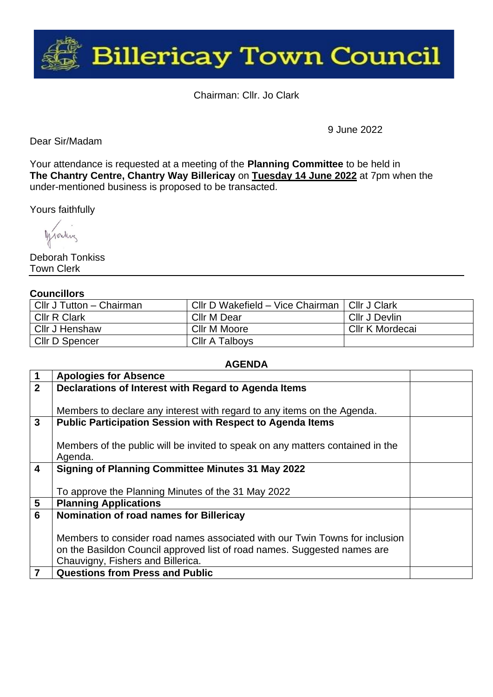

Chairman: Cllr. Jo Clark

Dear Sir/Madam

9 June 2022

Your attendance is requested at a meeting of the **Planning Committee** to be held in **The Chantry Centre, Chantry Way Billericay** on **Tuesday 14 June 2022** at 7pm when the under-mentioned business is proposed to be transacted.

Yours faithfully

Monday

Deborah Tonkiss Town Clerk

## **Councillors**

| Cllr J Tutton - Chairman | Cllr D Wakefield - Vice Chairman   Cllr J Clark |                 |
|--------------------------|-------------------------------------------------|-----------------|
| <b>CIIr R Clark</b>      | Cllr M Dear                                     | Cllr J Devlin   |
| Cllr J Henshaw           | Cllr M Moore                                    | Cllr K Mordecai |
| CIIr D Spencer           | Cllr A Talboys                                  |                 |

## **AGENDA**

|                         | <b>Apologies for Absence</b>                                                   |  |
|-------------------------|--------------------------------------------------------------------------------|--|
| 2 <sup>2</sup>          | Declarations of Interest with Regard to Agenda Items                           |  |
|                         |                                                                                |  |
|                         | Members to declare any interest with regard to any items on the Agenda.        |  |
| 3                       | <b>Public Participation Session with Respect to Agenda Items</b>               |  |
|                         |                                                                                |  |
|                         | Members of the public will be invited to speak on any matters contained in the |  |
|                         | Agenda.                                                                        |  |
| $\overline{\mathbf{4}}$ | <b>Signing of Planning Committee Minutes 31 May 2022</b>                       |  |
|                         |                                                                                |  |
|                         | To approve the Planning Minutes of the 31 May 2022                             |  |
| $5\phantom{.0}$         | <b>Planning Applications</b>                                                   |  |
| 6                       | Nomination of road names for Billericay                                        |  |
|                         |                                                                                |  |
|                         | Members to consider road names associated with our Twin Towns for inclusion    |  |
|                         | on the Basildon Council approved list of road names. Suggested names are       |  |
|                         | Chauvigny, Fishers and Billerica.                                              |  |
| $\overline{7}$          | <b>Questions from Press and Public</b>                                         |  |